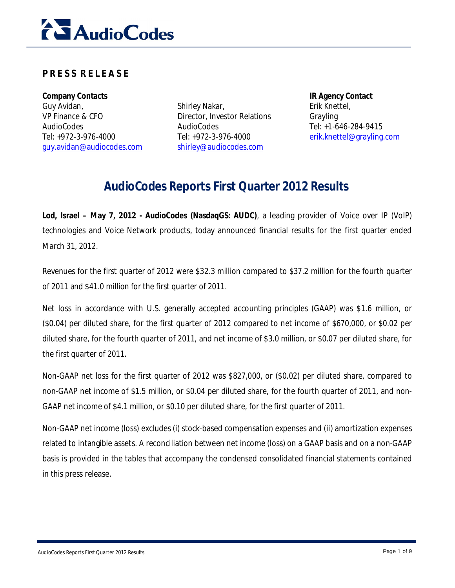

# **P R E S S R E L E A S E**

**Company Contacts IR Agency Contact** Guy Avidan, VP Finance & CFO AudioCodes Tel: +972-3-976-4000 guy.avidan@audiocodes.com

Shirley Nakar, Director, Investor Relations AudioCodes Tel: +972-3-976-4000 shirley@audiocodes.com

Erik Knettel, Grayling Tel: +1-646-284-9415 erik.knettel@grayling.com

# **AudioCodes Reports First Quarter 2012 Results**

**Lod, Israel – May 7, 2012 - AudioCodes (NasdaqGS: AUDC)**, a leading provider of Voice over IP (VoIP) technologies and Voice Network products, today announced financial results for the first quarter ended March 31, 2012.

Revenues for the first quarter of 2012 were \$32.3 million compared to \$37.2 million for the fourth quarter of 2011 and \$41.0 million for the first quarter of 2011.

Net loss in accordance with U.S. generally accepted accounting principles (GAAP) was \$1.6 million, or (\$0.04) per diluted share, for the first quarter of 2012 compared to net income of \$670,000, or \$0.02 per diluted share, for the fourth quarter of 2011, and net income of \$3.0 million, or \$0.07 per diluted share, for the first quarter of 2011.

Non-GAAP net loss for the first quarter of 2012 was \$827,000, or (\$0.02) per diluted share, compared to non-GAAP net income of \$1.5 million, or \$0.04 per diluted share, for the fourth quarter of 2011, and non-GAAP net income of \$4.1 million, or \$0.10 per diluted share, for the first quarter of 2011.

Non-GAAP net income (loss) excludes (i) stock-based compensation expenses and (ii) amortization expenses related to intangible assets. A reconciliation between net income (loss) on a GAAP basis and on a non-GAAP basis is provided in the tables that accompany the condensed consolidated financial statements contained in this press release.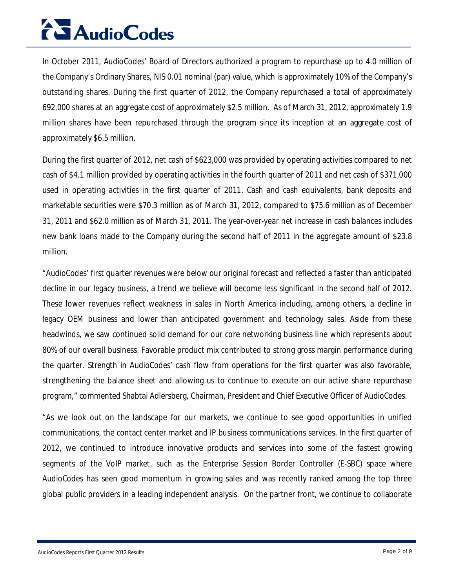# **AudioCodes**

In October 2011, AudioCodes' Board of Directors authorized a program to repurchase up to 4.0 million of the Company's Ordinary Shares, NIS 0.01 nominal (par) value, which is approximately 10% of the Company's outstanding shares. During the first quarter of 2012, the Company repurchased a total of approximately 692,000 shares at an aggregate cost of approximately \$2.5 million. As of March 31, 2012, approximately 1.9 million shares have been repurchased through the program since its inception at an aggregate cost of approximately \$6.5 million.

During the first quarter of 2012, net cash of \$623,000 was provided by operating activities compared to net cash of \$4.1 million provided by operating activities in the fourth quarter of 2011 and net cash of \$371,000 used in operating activities in the first quarter of 2011. Cash and cash equivalents, bank deposits and marketable securities were \$70.3 million as of March 31, 2012, compared to \$75.6 million as of December 31, 2011 and \$62.0 million as of March 31, 2011. The year-over-year net increase in cash balances includes new bank loans made to the Company during the second half of 2011 in the aggregate amount of \$23.8 million.

"AudioCodes' first quarter revenues were below our original forecast and reflected a faster than anticipated decline in our legacy business, a trend we believe will become less significant in the second half of 2012. These lower revenues reflect weakness in sales in North America including, among others, a decline in legacy OEM business and lower than anticipated government and technology sales. Aside from these headwinds, we saw continued solid demand for our core networking business line which represents about 80% of our overall business. Favorable product mix contributed to strong gross margin performance during the quarter. Strength in AudioCodes' cash flow from operations for the first quarter was also favorable, strengthening the balance sheet and allowing us to continue to execute on our active share repurchase program," commented Shabtai Adlersberg, Chairman, President and Chief Executive Officer of AudioCodes.

"As we look out on the landscape for our markets, we continue to see good opportunities in unified communications, the contact center market and IP business communications services. In the first quarter of 2012, we continued to introduce innovative products and services into some of the fastest growing segments of the VoIP market, such as the Enterprise Session Border Controller (E-SBC) space where AudioCodes has seen good momentum in growing sales and was recently ranked among the top three global public providers in a leading independent analysis. On the partner front, we continue to collaborate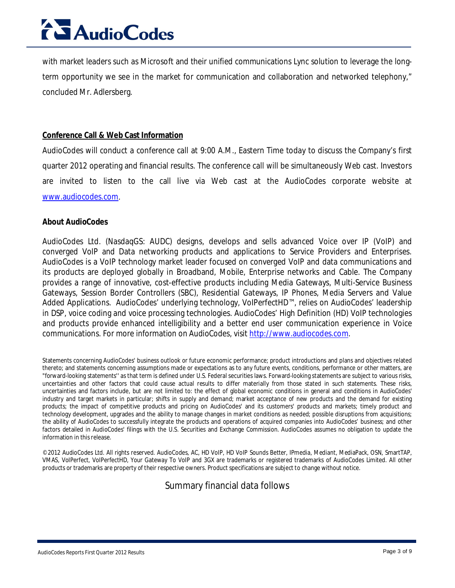# **AudioCodes**

with market leaders such as Microsoft and their unified communications Lync solution to leverage the longterm opportunity we see in the market for communication and collaboration and networked telephony," concluded Mr. Adlersberg.

#### **Conference Call & Web Cast Information**

AudioCodes will conduct a conference call at 9:00 A.M., Eastern Time today to discuss the Company's first quarter 2012 operating and financial results. The conference call will be simultaneously Web cast. Investors are invited to listen to the call live via Web cast at the AudioCodes corporate website at www.audiocodes.com.

#### **About AudioCodes**

AudioCodes Ltd. (NasdaqGS: AUDC) designs, develops and sells advanced Voice over IP (VoIP) and converged VoIP and Data networking products and applications to Service Providers and Enterprises. AudioCodes is a VoIP technology market leader focused on converged VoIP and data communications and its products are deployed globally in Broadband, Mobile, Enterprise networks and Cable. The Company provides a range of innovative, cost-effective products including Media Gateways, Multi-Service Business Gateways, Session Border Controllers (SBC), Residential Gateways, IP Phones, Media Servers and Value Added Applications. AudioCodes' underlying technology, VoIPerfectHD™, relies on AudioCodes' leadership in DSP, voice coding and voice processing technologies. AudioCodes' High Definition (HD) VoIP technologies and products provide enhanced intelligibility and a better end user communication experience in Voice communications. For more information on AudioCodes, visit http://www.audiocodes.com.

Statements concerning AudioCodes' business outlook or future economic performance; product introductions and plans and objectives related thereto; and statements concerning assumptions made or expectations as to any future events, conditions, performance or other matters, are "forward-looking statements'' as that term is defined under U.S. Federal securities laws. Forward-looking statements are subject to various risks, uncertainties and other factors that could cause actual results to differ materially from those stated in such statements. These risks, uncertainties and factors include, but are not limited to: the effect of global economic conditions in general and conditions in AudioCodes' industry and target markets in particular; shifts in supply and demand; market acceptance of new products and the demand for existing products; the impact of competitive products and pricing on AudioCodes' and its customers' products and markets; timely product and technology development, upgrades and the ability to manage changes in market conditions as needed; possible disruptions from acquisitions; the ability of AudioCodes to successfully integrate the products and operations of acquired companies into AudioCodes' business; and other factors detailed in AudioCodes' filings with the U.S. Securities and Exchange Commission. AudioCodes assumes no obligation to update the information in this release.

©2012 AudioCodes Ltd. All rights reserved. AudioCodes, AC, HD VoIP, HD VoIP Sounds Better, IPmedia, Mediant, MediaPack, OSN, SmartTAP, VMAS, VoIPerfect, VoIPerfectHD, Your Gateway To VoIP and 3GX are trademarks or registered trademarks of AudioCodes Limited. All other products or trademarks are property of their respective owners. Product specifications are subject to change without notice.

# Summary financial data follows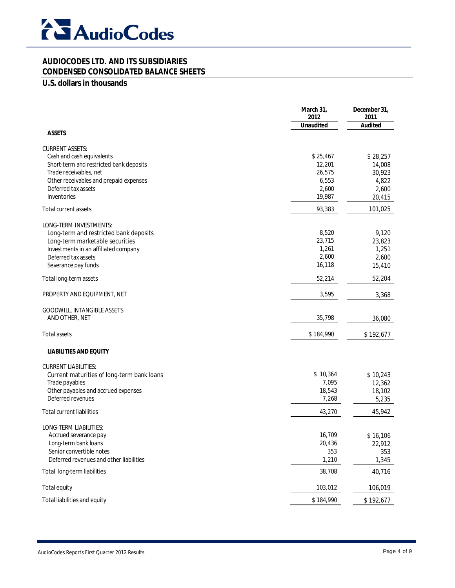

# **CONDENSED CONSOLIDATED BALANCE SHEETS**

### **U.S. dollars in thousands**

|                                                             | March 31,<br>2012<br><b>Unaudited</b> | December 31,<br>2011<br><b>Audited</b> |
|-------------------------------------------------------------|---------------------------------------|----------------------------------------|
| <b>ASSETS</b>                                               |                                       |                                        |
| <b>CURRENT ASSETS:</b>                                      |                                       |                                        |
| Cash and cash equivalents                                   | \$25,467                              | \$28,257                               |
| Short-term and restricted bank deposits                     | 12,201                                | 14,008                                 |
| Trade receivables, net                                      | 26,575                                | 30,923                                 |
| Other receivables and prepaid expenses                      | 6,553                                 | 4,822                                  |
| Deferred tax assets                                         | 2,600                                 | 2,600                                  |
| Inventories                                                 | 19,987                                | 20,415                                 |
| Total current assets                                        | 93,383                                | 101,025                                |
| LONG-TERM INVESTMENTS:                                      |                                       |                                        |
| Long-term and restricted bank deposits                      | 8,520                                 | 9,120                                  |
| Long-term marketable securities                             | 23,715                                | 23,823                                 |
| Investments in an affiliated company<br>Deferred tax assets | 1,261<br>2,600                        | 1,251<br>2,600                         |
| Severance pay funds                                         | 16,118                                | 15,410                                 |
| Total long-term assets                                      | 52,214                                | 52,204                                 |
|                                                             |                                       |                                        |
| PROPERTY AND EQUIPMENT, NET                                 | 3,595                                 | 3,368                                  |
| GOODWILL, INTANGIBLE ASSETS                                 |                                       |                                        |
| AND OTHER, NET                                              | 35,798                                | 36,080                                 |
| <b>Total assets</b>                                         | \$184,990                             | \$192,677                              |
| <b>LIABILITIES AND EQUITY</b>                               |                                       |                                        |
| <b>CURRENT LIABILITIES:</b>                                 |                                       |                                        |
| Current maturities of long-term bank loans                  | \$10,364                              | \$10,243                               |
| Trade payables<br>Other payables and accrued expenses       | 7,095<br>18,543                       | 12,362                                 |
| Deferred revenues                                           | 7,268                                 | 18,102<br>5,235                        |
| <b>Total current liabilities</b>                            | 43,270                                | 45,942                                 |
|                                                             |                                       |                                        |
| LONG-TERM LIABILITIES:                                      |                                       |                                        |
| Accrued severance pay                                       | 16,709                                | \$16,106                               |
| Long-term bank loans                                        | 20,436                                | 22,912                                 |
| Senior convertible notes                                    | 353                                   | 353                                    |
| Deferred revenues and other liabilities                     | 1,210                                 | 1,345                                  |
| Total long-term liabilities                                 | 38,708                                | 40,716                                 |
| Total equity                                                | 103,012                               | 106,019                                |
| Total liabilities and equity                                | \$184,990                             | \$192,677                              |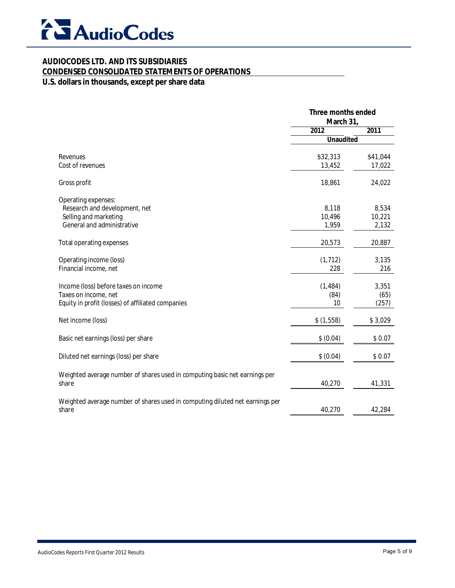

#### **CONDENSED CONSOLIDATED STATEMENTS OF OPERATIONS**

# **U.S. dollars in thousands, except per share data**

|                                                                                                                   | Three months ended<br>March 31, |                          |
|-------------------------------------------------------------------------------------------------------------------|---------------------------------|--------------------------|
|                                                                                                                   | 2012                            | 2011                     |
|                                                                                                                   | <b>Unaudited</b>                |                          |
| Revenues                                                                                                          | \$32,313                        | \$41,044                 |
| Cost of revenues                                                                                                  | 13,452                          | 17,022                   |
| Gross profit                                                                                                      | 18,861                          | 24,022                   |
| Operating expenses:<br>Research and development, net<br>Selling and marketing<br>General and administrative       | 8,118<br>10,496<br>1,959        | 8,534<br>10,221<br>2,132 |
| Total operating expenses                                                                                          | 20,573                          | 20,887                   |
| Operating income (loss)<br>Financial income, net                                                                  | (1, 712)<br>228                 | 3,135<br>216             |
| Income (loss) before taxes on income<br>Taxes on income, net<br>Equity in profit (losses) of affiliated companies | (1, 484)<br>(84)<br>10          | 3,351<br>(65)<br>(257)   |
| Net income (loss)                                                                                                 | \$(1,558)                       | \$3,029                  |
| Basic net earnings (loss) per share                                                                               | \$ (0.04)                       | \$0.07                   |
| Diluted net earnings (loss) per share                                                                             | \$ (0.04)                       | \$0.07                   |
| Weighted average number of shares used in computing basic net earnings per<br>share                               | 40,270                          | 41,331                   |
| Weighted average number of shares used in computing diluted net earnings per<br>share                             | 40,270                          | 42,284                   |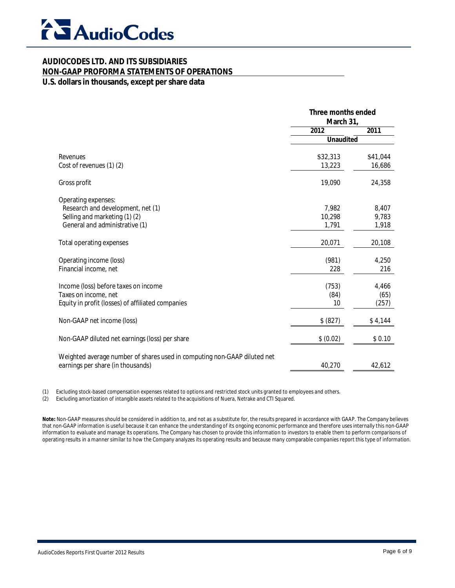

# **NON-GAAP PROFORMA STATEMENTS OF OPERATIONS**

### **U.S. dollars in thousands, except per share data**

|                                                                                                               | Three months ended<br>March 31, |          |
|---------------------------------------------------------------------------------------------------------------|---------------------------------|----------|
|                                                                                                               | 2012                            | 2011     |
|                                                                                                               | <b>Unaudited</b>                |          |
| Revenues                                                                                                      | \$32,313                        | \$41,044 |
| Cost of revenues (1) (2)                                                                                      | 13,223                          | 16,686   |
| Gross profit                                                                                                  | 19,090                          | 24,358   |
| Operating expenses:                                                                                           |                                 |          |
| Research and development, net (1)                                                                             | 7,982                           | 8,407    |
| Selling and marketing (1) (2)                                                                                 | 10,298                          | 9,783    |
| General and administrative (1)                                                                                | 1,791                           | 1,918    |
| Total operating expenses                                                                                      | 20,071                          | 20,108   |
| Operating income (loss)                                                                                       | (981)                           | 4,250    |
| Financial income, net                                                                                         | 228                             | 216      |
| Income (loss) before taxes on income                                                                          | (753)                           | 4,466    |
| Taxes on income, net                                                                                          | (84)                            | (65)     |
| Equity in profit (losses) of affiliated companies                                                             | 10                              | (257)    |
| Non-GAAP net income (loss)                                                                                    | \$ (827)                        | \$4,144  |
| Non-GAAP diluted net earnings (loss) per share                                                                | \$ (0.02)                       | \$0.10   |
| Weighted average number of shares used in computing non-GAAP diluted net<br>earnings per share (in thousands) | 40,270                          | 42,612   |

(1) Excluding stock-based compensation expenses related to options and restricted stock units granted to employees and others.

(2) Excluding amortization of intangible assets related to the acquisitions of Nuera, Netrake and CTI Squared.

**Note:** Non-GAAP measures should be considered in addition to, and not as a substitute for, the results prepared in accordance with GAAP. The Company believes that non-GAAP information is useful because it can enhance the understanding of its ongoing economic performance and therefore uses internally this non-GAAP information to evaluate and manage its operations. The Company has chosen to provide this information to investors to enable them to perform comparisons of operating results in a manner similar to how the Company analyzes its operating results and because many comparable companies report this type of information.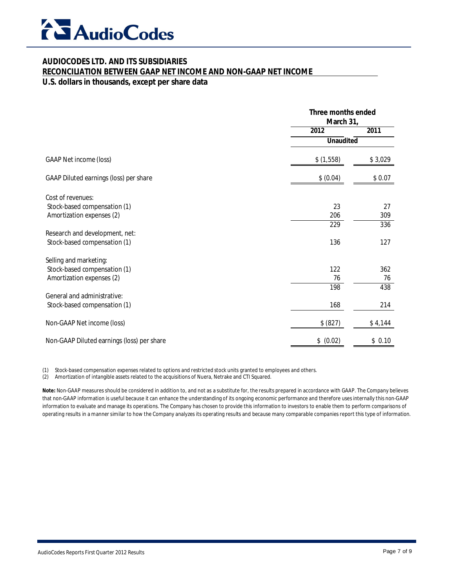

#### **RECONCILIATION BETWEEN GAAP NET INCOME AND NON-GAAP NET INCOME**

#### **U.S. dollars in thousands, except per share data**

|                                            | Three months ended<br>March 31, |         |
|--------------------------------------------|---------------------------------|---------|
|                                            | 2012                            | 2011    |
|                                            | <b>Unaudited</b>                |         |
| <b>GAAP Net income (loss)</b>              | \$(1,558)                       | \$3,029 |
| GAAP Diluted earnings (loss) per share     | \$ (0.04)                       | \$0.07  |
| Cost of revenues:                          |                                 |         |
| Stock-based compensation (1)               | 23                              | 27      |
| Amortization expenses (2)                  | 206                             | 309     |
|                                            | 229                             | 336     |
| Research and development, net:             |                                 |         |
| Stock-based compensation (1)               | 136                             | 127     |
| Selling and marketing:                     |                                 |         |
| Stock-based compensation (1)               | 122                             | 362     |
| Amortization expenses (2)                  | 76                              | 76      |
|                                            | 198                             | 438     |
| General and administrative:                |                                 |         |
| Stock-based compensation (1)               | 168                             | 214     |
| Non-GAAP Net income (loss)                 | \$ (827)                        | \$4,144 |
| Non-GAAP Diluted earnings (loss) per share | \$ (0.02)                       | \$0.10  |

(1) Stock-based compensation expenses related to options and restricted stock units granted to employees and others.

(2) Amortization of intangible assets related to the acquisitions of Nuera, Netrake and CTI Squared.

**Note:** Non-GAAP measures should be considered in addition to, and not as a substitute for, the results prepared in accordance with GAAP. The Company believes that non-GAAP information is useful because it can enhance the understanding of its ongoing economic performance and therefore uses internally this non-GAAP information to evaluate and manage its operations. The Company has chosen to provide this information to investors to enable them to perform comparisons of operating results in a manner similar to how the Company analyzes its operating results and because many comparable companies report this type of information.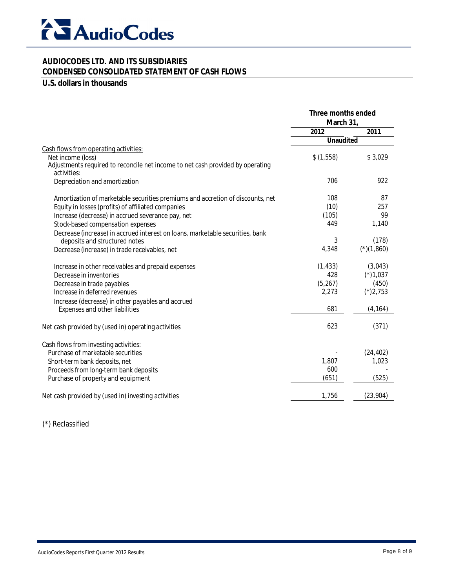

#### **AUDIOCODES LTD. AND ITS SUBSIDIARIES CONDENSED CONSOLIDATED STATEMENT OF CASH FLOWS**

#### **U.S. dollars in thousands**

|                                                                                               | Three months ended<br>March 31, |              |
|-----------------------------------------------------------------------------------------------|---------------------------------|--------------|
|                                                                                               | 2012                            | 2011         |
|                                                                                               | <b>Unaudited</b>                |              |
| Cash flows from operating activities:                                                         |                                 |              |
| Net income (loss)                                                                             | \$(1,558)                       | \$3,029      |
| Adjustments required to reconcile net income to net cash provided by operating<br>activities: |                                 |              |
| Depreciation and amortization                                                                 | 706                             | 922          |
| Amortization of marketable securities premiums and accretion of discounts, net                | 108                             | 87           |
| Equity in losses (profits) of affiliated companies                                            | (10)                            | 257          |
| Increase (decrease) in accrued severance pay, net                                             | (105)                           | 99           |
| Stock-based compensation expenses                                                             | 449                             | 1,140        |
| Decrease (increase) in accrued interest on loans, marketable securities, bank                 |                                 |              |
| deposits and structured notes                                                                 | 3                               | (178)        |
| Decrease (increase) in trade receivables, net                                                 | 4,348                           | $(*)(1,860)$ |
| Increase in other receivables and prepaid expenses                                            | (1, 433)                        | (3,043)      |
| Decrease in inventories                                                                       | 428                             | $(*)1,037$   |
| Decrease in trade payables                                                                    | (5, 267)                        | (450)        |
| Increase in deferred revenues                                                                 | 2,273                           | $(*)2,753$   |
| Increase (decrease) in other payables and accrued                                             |                                 |              |
| Expenses and other liabilities                                                                | 681                             | (4, 164)     |
| Net cash provided by (used in) operating activities                                           | 623                             | (371)        |
| Cash flows from investing activities:                                                         |                                 |              |
| Purchase of marketable securities                                                             |                                 | (24, 402)    |
| Short-term bank deposits, net                                                                 | 1,807                           | 1,023        |
| Proceeds from long-term bank deposits                                                         | 600                             |              |
| Purchase of property and equipment                                                            | (651)                           | (525)        |
| Net cash provided by (used in) investing activities                                           | 1,756                           | (23, 904)    |

(\*) Reclassified